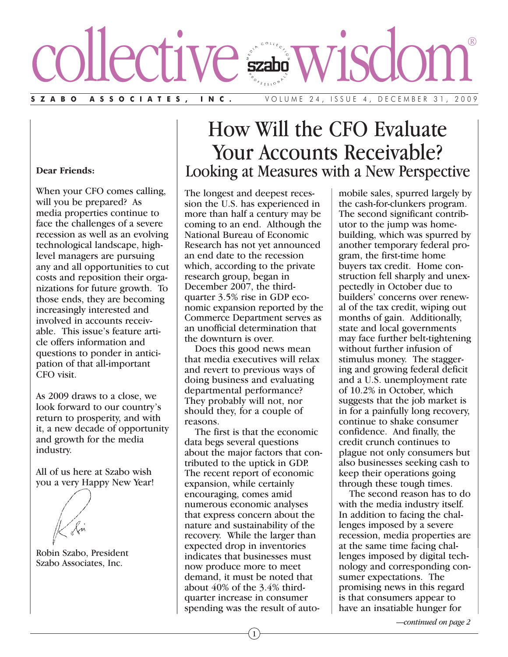# **SZABO ASSOCIATES, INC.** VOLUME 24, ISSUE 4, DECEMBER 31, 2009 collective wisdom®

#### **Dear Friends:**

When your CFO comes calling, will you be prepared? As media properties continue to face the challenges of a severe recession as well as an evolving technological landscape, highlevel managers are pursuing any and all opportunities to cut costs and reposition their organizations for future growth. To those ends, they are becoming increasingly interested and involved in accounts receivable. This issue's feature article offers information and questions to ponder in anticipation of that all-important CFO visit.

As 2009 draws to a close, we look forward to our country's return to prosperity, and with it, a new decade of opportunity and growth for the media industry.

All of us here at Szabo wish you a very Happy New Year!

Robin Szabo, President Szabo Associates, Inc.

# How Will the CFO Evaluate Your Accounts Receivable? Looking at Measures with a New Perspective

The longest and deepest recession the U.S. has experienced in more than half a century may be coming to an end. Although the National Bureau of Economic Research has not yet announced an end date to the recession which, according to the private research group, began in December 2007, the thirdquarter 3.5% rise in GDP economic expansion reported by the Commerce Department serves as an unofficial determination that the downturn is over.

Does this good news mean that media executives will relax and revert to previous ways of doing business and evaluating departmental performance? They probably will not, nor should they, for a couple of reasons.

The first is that the economic data begs several questions about the major factors that contributed to the uptick in GDP. The recent report of economic expansion, while certainly encouraging, comes amid numerous economic analyses that express concern about the nature and sustainability of the recovery. While the larger than expected drop in inventories indicates that businesses must now produce more to meet demand, it must be noted that about 40% of the 3.4% thirdquarter increase in consumer spending was the result of automobile sales, spurred largely by the cash-for-clunkers program. The second significant contributor to the jump was homebuilding, which was spurred by another temporary federal program, the first-time home buyers tax credit. Home construction fell sharply and unexpectedly in October due to builders' concerns over renewal of the tax credit, wiping out months of gain. Additionally, state and local governments may face further belt-tightening without further infusion of stimulus money. The staggering and growing federal deficit and a U.S. unemployment rate of 10.2% in October, which suggests that the job market is in for a painfully long recovery, continue to shake consumer confidence. And finally, the credit crunch continues to plague not only consumers but also businesses seeking cash to keep their operations going through these tough times.

The second reason has to do with the media industry itself. In addition to facing the challenges imposed by a severe recession, media properties are at the same time facing challenges imposed by digital technology and corresponding consumer expectations. The promising news in this regard is that consumers appear to have an insatiable hunger for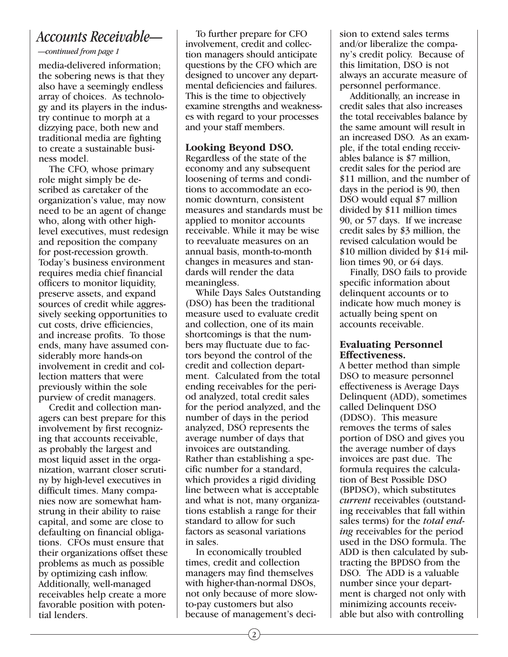## *Accounts Receivable—*

*—continued from page 1*

media-delivered information; the sobering news is that they also have a seemingly endless array of choices. As technology and its players in the industry continue to morph at a dizzying pace, both new and traditional media are fighting to create a sustainable business model.

The CFO, whose primary role might simply be described as caretaker of the organization's value, may now need to be an agent of change who, along with other highlevel executives, must redesign and reposition the company for post-recession growth. Today's business environment requires media chief financial officers to monitor liquidity, preserve assets, and expand sources of credit while aggressively seeking opportunities to cut costs, drive efficiencies, and increase profits. To those ends, many have assumed considerably more hands-on involvement in credit and collection matters that were previously within the sole purview of credit managers.

Credit and collection managers can best prepare for this involvement by first recognizing that accounts receivable, as probably the largest and most liquid asset in the organization, warrant closer scrutiny by high-level executives in difficult times. Many companies now are somewhat hamstrung in their ability to raise capital, and some are close to defaulting on financial obligations. CFOs must ensure that their organizations offset these problems as much as possible by optimizing cash inflow. Additionally, well-managed receivables help create a more favorable position with potential lenders.

To further prepare for CFO involvement, credit and collection managers should anticipate questions by the CFO which are designed to uncover any departmental deficiencies and failures. This is the time to objectively examine strengths and weaknesses with regard to your processes and your staff members.

#### **Looking Beyond DSO.**

Regardless of the state of the economy and any subsequent loosening of terms and conditions to accommodate an economic downturn, consistent measures and standards must be applied to monitor accounts receivable. While it may be wise to reevaluate measures on an annual basis, month-to-month changes in measures and standards will render the data meaningless.

While Days Sales Outstanding (DSO) has been the traditional measure used to evaluate credit and collection, one of its main shortcomings is that the numbers may fluctuate due to factors beyond the control of the credit and collection department. Calculated from the total ending receivables for the period analyzed, total credit sales for the period analyzed, and the number of days in the period analyzed, DSO represents the average number of days that invoices are outstanding. Rather than establishing a specific number for a standard, which provides a rigid dividing line between what is acceptable and what is not, many organizations establish a range for their standard to allow for such factors as seasonal variations in sales.

In economically troubled times, credit and collection managers may find themselves with higher-than-normal DSOs, not only because of more slowto-pay customers but also because of management's decision to extend sales terms and/or liberalize the company's credit policy. Because of this limitation, DSO is not always an accurate measure of personnel performance.

Additionally, an increase in credit sales that also increases the total receivables balance by the same amount will result in an increased DSO. As an example, if the total ending receivables balance is \$7 million, credit sales for the period are \$11 million, and the number of days in the period is 90, then DSO would equal \$7 million divided by \$11 million times 90, or 57 days. If we increase credit sales by \$3 million, the revised calculation would be \$10 million divided by \$14 million times 90, or 64 days.

Finally, DSO fails to provide specific information about delinquent accounts or to indicate how much money is actually being spent on accounts receivable.

#### **Evaluating Personnel Effectiveness.**

A better method than simple DSO to measure personnel effectiveness is Average Days Delinquent (ADD), sometimes called Delinquent DSO (DDSO). This measure removes the terms of sales portion of DSO and gives you the average number of days invoices are past due. The formula requires the calculation of Best Possible DSO (BPDSO), which substitutes *current* receivables (outstanding receivables that fall within sales terms) for the *total ending* receivables for the period used in the DSO formula. The ADD is then calculated by subtracting the BPDSO from the DSO. The ADD is a valuable number since your department is charged not only with minimizing accounts receivable but also with controlling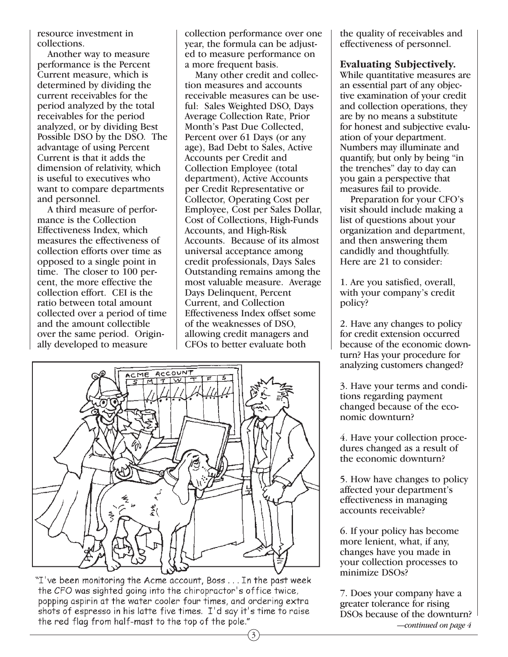resource investment in collections.

Another way to measure performance is the Percent Current measure, which is determined by dividing the current receivables for the period analyzed by the total receivables for the period analyzed, or by dividing Best Possible DSO by the DSO. The advantage of using Percent Current is that it adds the dimension of relativity, which is useful to executives who want to compare departments and personnel.

A third measure of performance is the Collection Effectiveness Index, which measures the effectiveness of collection efforts over time as opposed to a single point in time. The closer to 100 percent, the more effective the collection effort. CEI is the ratio between total amount collected over a period of time and the amount collectible over the same period. Originally developed to measure

collection performance over one year, the formula can be adjusted to measure performance on a more frequent basis.

Many other credit and collection measures and accounts receivable measures can be useful: Sales Weighted DSO, Days Average Collection Rate, Prior Month's Past Due Collected, Percent over 61 Days (or any age), Bad Debt to Sales, Active Accounts per Credit and Collection Employee (total department), Active Accounts per Credit Representative or Collector, Operating Cost per Employee, Cost per Sales Dollar, Cost of Collections, High-Funds Accounts, and High-Risk Accounts. Because of its almost universal acceptance among credit professionals, Days Sales Outstanding remains among the most valuable measure. Average Days Delinquent, Percent Current, and Collection Effectiveness Index offset some of the weaknesses of DSO, allowing credit managers and CFOs to better evaluate both



"I've been monitoring the Acme account, Boss... In the past week the CFO was sighted going into the chiropractor's office twice, popping aspirin at the water cooler four times, and ordering extra shots of espresso in his latte five times. I'd say it's time to raise the red flag from half-mast to the top of the pole."

the quality of receivables and effectiveness of personnel.

#### **Evaluating Subjectively.**

While quantitative measures are an essential part of any objective examination of your credit and collection operations, they are by no means a substitute for honest and subjective evaluation of your department. Numbers may illuminate and quantify, but only by being "in the trenches" day to day can you gain a perspective that measures fail to provide.

Preparation for your CFO's visit should include making a list of questions about your organization and department, and then answering them candidly and thoughtfully. Here are 21 to consider:

1. Are you satisfied, overall, with your company's credit policy?

2. Have any changes to policy for credit extension occurred because of the economic downturn? Has your procedure for analyzing customers changed?

3. Have your terms and conditions regarding payment changed because of the economic downturn?

4. Have your collection procedures changed as a result of the economic downturn?

5. How have changes to policy affected your department's effectiveness in managing accounts receivable?

6. If your policy has become more lenient, what, if any, changes have you made in your collection processes to minimize DSOs?

7. Does your company have a greater tolerance for rising DSOs because of the downturn? *—continued on page 4*